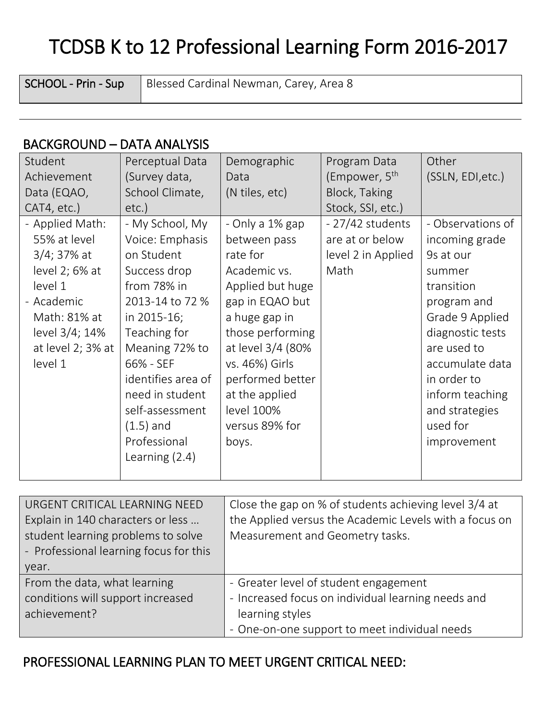## TCDSB K to 12 Professional Learning Form 2016-2017

SCHOOL - Prin - Sup | Blessed Cardinal Newman, Carey, Area 8

## BACKGROUND – DATA ANALYSIS

| Student           | Perceptual Data    | Demographic       | Program Data              | Other             |
|-------------------|--------------------|-------------------|---------------------------|-------------------|
| Achievement       | (Survey data,      | Data              | (Empower, 5 <sup>th</sup> | (SSLN, EDI, etc.) |
| Data (EQAO,       | School Climate,    | (N tiles, etc)    | Block, Taking             |                   |
| CAT4, etc.)       | $etc.$ )           |                   | Stock, SSI, etc.)         |                   |
| - Applied Math:   | - My School, My    | - Only a 1% gap   | - 27/42 students          | - Observations of |
| 55% at level      | Voice: Emphasis    | between pass      | are at or below           | incoming grade    |
| $3/4$ ; 37% at    | on Student         | rate for          | level 2 in Applied        | 9s at our         |
| level 2; 6% at    | Success drop       | Academic vs.      | Math                      | summer            |
| level 1           | from 78% in        | Applied but huge  |                           | transition        |
| - Academic        | 2013-14 to 72 %    | gap in EQAO but   |                           | program and       |
| Math: 81% at      | in 2015-16;        | a huge gap in     |                           | Grade 9 Applied   |
| level 3/4; 14%    | Teaching for       | those performing  |                           | diagnostic tests  |
| at level 2; 3% at | Meaning 72% to     | at level 3/4 (80% |                           | are used to       |
| level 1           | 66% - SEF          | vs. 46%) Girls    |                           | accumulate data   |
|                   | identifies area of | performed better  |                           | in order to       |
|                   | need in student    | at the applied    |                           | inform teaching   |
|                   | self-assessment    | level 100%        |                           | and strategies    |
|                   | $(1.5)$ and        | versus 89% for    |                           | used for          |
|                   | Professional       | boys.             |                           | improvement       |
|                   | Learning $(2.4)$   |                   |                           |                   |
|                   |                    |                   |                           |                   |

| URGENT CRITICAL LEARNING NEED          | Close the gap on % of students achieving level 3/4 at  |
|----------------------------------------|--------------------------------------------------------|
| Explain in 140 characters or less      | the Applied versus the Academic Levels with a focus on |
| student learning problems to solve     | Measurement and Geometry tasks.                        |
| - Professional learning focus for this |                                                        |
| year.                                  |                                                        |
| From the data, what learning           | - Greater level of student engagement                  |
| conditions will support increased      | - Increased focus on individual learning needs and     |
| achievement?                           | learning styles                                        |
|                                        | - One-on-one support to meet individual needs          |

## PROFESSIONAL LEARNING PLAN TO MEET URGENT CRITICAL NEED: